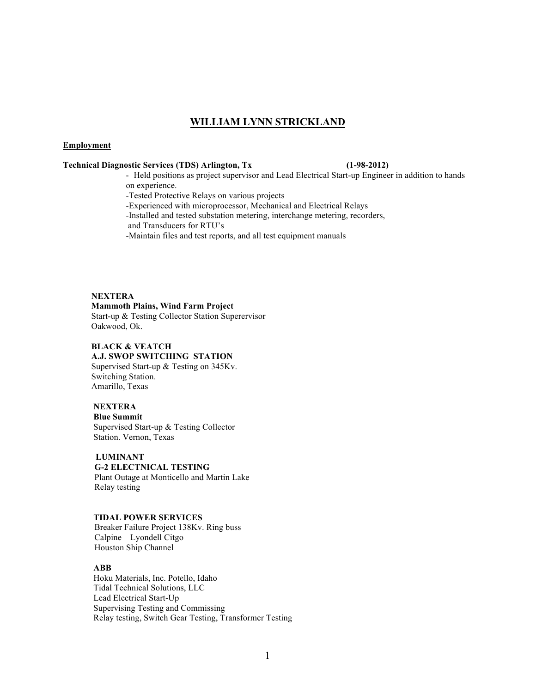# **WILLIAM LYNN STRICKLAND**

### **Employment**

### **Technical Diagnostic Services (TDS) Arlington, Tx (1-98-2012)**

- Held positions as project supervisor and Lead Electrical Start-up Engineer in addition to hands on experience.

-Tested Protective Relays on various projects

-Experienced with microprocessor, Mechanical and Electrical Relays

-Installed and tested substation metering, interchange metering, recorders, and Transducers for RTU's

-Maintain files and test reports, and all test equipment manuals

### **NEXTERA**

### **Mammoth Plains, Wind Farm Project**

Start-up & Testing Collector Station Superervisor Oakwood, Ok.

### **BLACK & VEATCH A.J. SWOP SWITCHING STATION**

Supervised Start-up & Testing on 345Kv. Switching Station. Amarillo, Texas

## **NEXTERA**

 **Blue Summit** Supervised Start-up & Testing Collector Station. Vernon, Texas

### **LUMINANT**

**G-2 ELECTNICAL TESTING** Plant Outage at Monticello and Martin Lake Relay testing

### **TIDAL POWER SERVICES**

Breaker Failure Project 138Kv. Ring buss Calpine – Lyondell Citgo Houston Ship Channel

### **ABB**

Hoku Materials, Inc. Potello, Idaho Tidal Technical Solutions, LLC Lead Electrical Start-Up Supervising Testing and Commissing Relay testing, Switch Gear Testing, Transformer Testing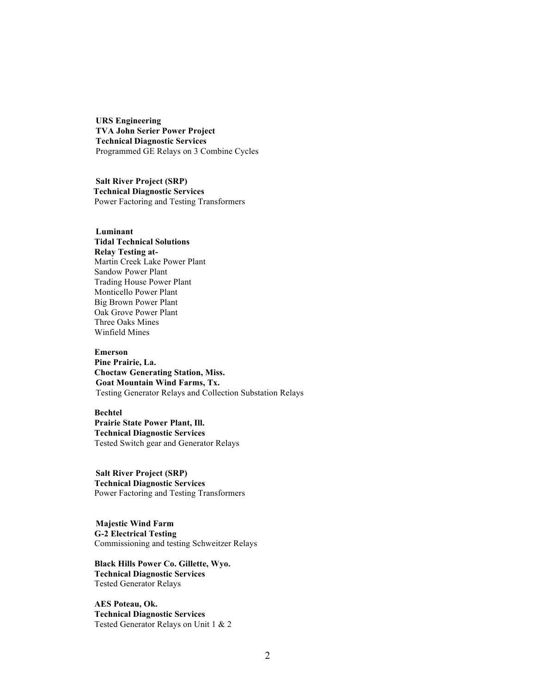**URS Engineering TVA John Serier Power Project Technical Diagnostic Services** Programmed GE Relays on 3 Combine Cycles

 **Salt River Project (SRP) Technical Diagnostic Services** Power Factoring and Testing Transformers

# **Luminant**

**Tidal Technical Solutions Relay Testing at-**Martin Creek Lake Power Plant Sandow Power Plant Trading House Power Plant Monticello Power Plant Big Brown Power Plant Oak Grove Power Plant Three Oaks Mines Winfield Mines

### **Emerson**

**Pine Prairie, La. Choctaw Generating Station, Miss. Goat Mountain Wind Farms, Tx.** Testing Generator Relays and Collection Substation Relays

### **Bechtel**

**Prairie State Power Plant, Ill. Technical Diagnostic Services** Tested Switch gear and Generator Relays

 **Salt River Project (SRP) Technical Diagnostic Services** Power Factoring and Testing Transformers

 **Majestic Wind Farm G-2 Electrical Testing** Commissioning and testing Schweitzer Relays

**Black Hills Power Co. Gillette, Wyo. Technical Diagnostic Services** Tested Generator Relays

**AES Poteau, Ok. Technical Diagnostic Services** Tested Generator Relays on Unit 1 & 2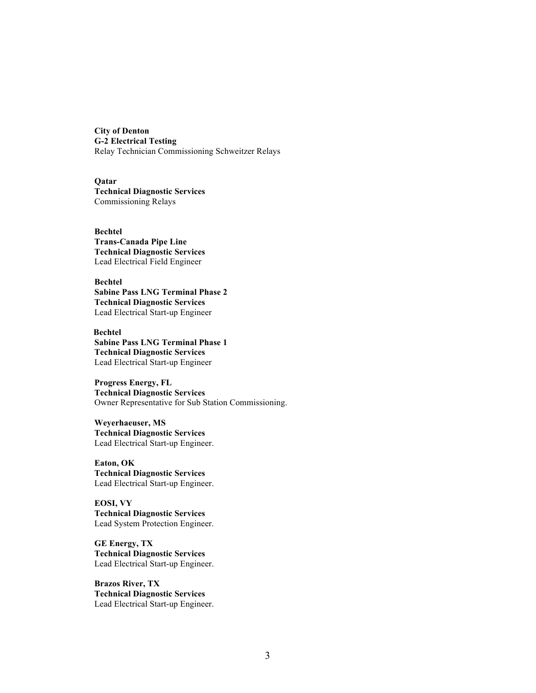**City of Denton G-2 Electrical Testing** Relay Technician Commissioning Schweitzer Relays

**Qatar Technical Diagnostic Services** Commissioning Relays

**Bechtel Trans-Canada Pipe Line Technical Diagnostic Services** Lead Electrical Field Engineer

**Bechtel Sabine Pass LNG Terminal Phase 2 Technical Diagnostic Services** Lead Electrical Start-up Engineer

 **Bechtel Sabine Pass LNG Terminal Phase 1 Technical Diagnostic Services** Lead Electrical Start-up Engineer

**Progress Energy, FL Technical Diagnostic Services** Owner Representative for Sub Station Commissioning.

**Weyerhaeuser, MS Technical Diagnostic Services** Lead Electrical Start-up Engineer.

**Eaton, OK Technical Diagnostic Services** Lead Electrical Start-up Engineer.

**EOSI, VY Technical Diagnostic Services** Lead System Protection Engineer.

**GE Energy, TX Technical Diagnostic Services** Lead Electrical Start-up Engineer.

**Brazos River, TX Technical Diagnostic Services** Lead Electrical Start-up Engineer.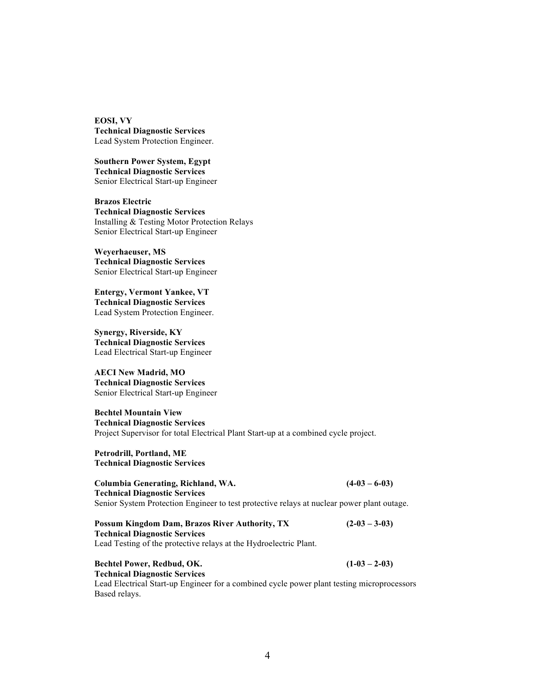**EOSI, VY Technical Diagnostic Services** Lead System Protection Engineer.

**Southern Power System, Egypt Technical Diagnostic Services** Senior Electrical Start-up Engineer

**Brazos Electric Technical Diagnostic Services** Installing & Testing Motor Protection Relays Senior Electrical Start-up Engineer

**Weyerhaeuser, MS Technical Diagnostic Services** Senior Electrical Start-up Engineer

**Entergy, Vermont Yankee, VT Technical Diagnostic Services** Lead System Protection Engineer.

**Synergy, Riverside, KY Technical Diagnostic Services** Lead Electrical Start-up Engineer

**AECI New Madrid, MO Technical Diagnostic Services** Senior Electrical Start-up Engineer

**Bechtel Mountain View Technical Diagnostic Services** Project Supervisor for total Electrical Plant Start-up at a combined cycle project.

**Petrodrill, Portland, ME Technical Diagnostic Services**

**Columbia Generating, Richland, WA. (4-03 – 6-03) Technical Diagnostic Services** Senior System Protection Engineer to test protective relays at nuclear power plant outage.

**Possum Kingdom Dam, Brazos River Authority, TX (2-03 – 3-03) Technical Diagnostic Services**

Lead Testing of the protective relays at the Hydroelectric Plant.

**Bechtel Power, Redbud, OK. (1-03 – 2-03) Technical Diagnostic Services** Lead Electrical Start-up Engineer for a combined cycle power plant testing microprocessors Based relays.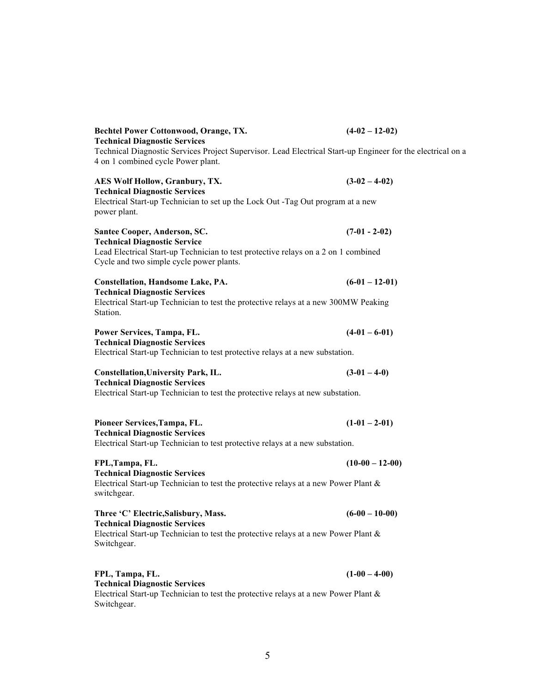| <b>Bechtel Power Cottonwood, Orange, TX.</b>                                                                                                                                              | $(4-02-12-02)$  |
|-------------------------------------------------------------------------------------------------------------------------------------------------------------------------------------------|-----------------|
| <b>Technical Diagnostic Services</b><br>Technical Diagnostic Services Project Supervisor. Lead Electrical Start-up Engineer for the electrical on a<br>4 on 1 combined cycle Power plant. |                 |
| <b>AES Wolf Hollow, Granbury, TX.</b><br><b>Technical Diagnostic Services</b>                                                                                                             | $(3-02 - 4-02)$ |
| Electrical Start-up Technician to set up the Lock Out -Tag Out program at a new<br>power plant.                                                                                           |                 |
| Santee Cooper, Anderson, SC.<br><b>Technical Diagnostic Service</b>                                                                                                                       | $(7-01 - 2-02)$ |
| Lead Electrical Start-up Technician to test protective relays on a 2 on 1 combined<br>Cycle and two simple cycle power plants.                                                            |                 |
| <b>Constellation, Handsome Lake, PA.</b><br><b>Technical Diagnostic Services</b>                                                                                                          | $(6-01-12-01)$  |
| Electrical Start-up Technician to test the protective relays at a new 300MW Peaking<br>Station.                                                                                           |                 |
| Power Services, Tampa, FL.<br><b>Technical Diagnostic Services</b>                                                                                                                        | $(4-01 - 6-01)$ |
| Electrical Start-up Technician to test protective relays at a new substation.                                                                                                             |                 |
| <b>Constellation, University Park, IL.</b><br><b>Technical Diagnostic Services</b>                                                                                                        | $(3-01-4-0)$    |
| Electrical Start-up Technician to test the protective relays at new substation.                                                                                                           |                 |
| Pioneer Services, Tampa, FL.                                                                                                                                                              | $(1-01 - 2-01)$ |
| <b>Technical Diagnostic Services</b><br>Electrical Start-up Technician to test protective relays at a new substation.                                                                     |                 |
| FPL, Tampa, FL.                                                                                                                                                                           | $(10-00-12-00)$ |
| <b>Technical Diagnostic Services</b><br>Electrical Start-up Technician to test the protective relays at a new Power Plant $\&$<br>switchgear.                                             |                 |
| Three 'C' Electric, Salisbury, Mass.<br><b>Technical Diagnostic Services</b>                                                                                                              | $(6-00-10-00)$  |
| Electrical Start-up Technician to test the protective relays at a new Power Plant $\&$<br>Switchgear.                                                                                     |                 |
| FPL, Tampa, FL.<br><b>Technical Diagnostic Services</b>                                                                                                                                   | $(1-00 - 4-00)$ |
| Electrical Start-un Technician to test the protective relays at a new Power Plant $\&$                                                                                                    |                 |

Electrical Start-up Technician to test the protective relays at a new Power Plant & Switchgear.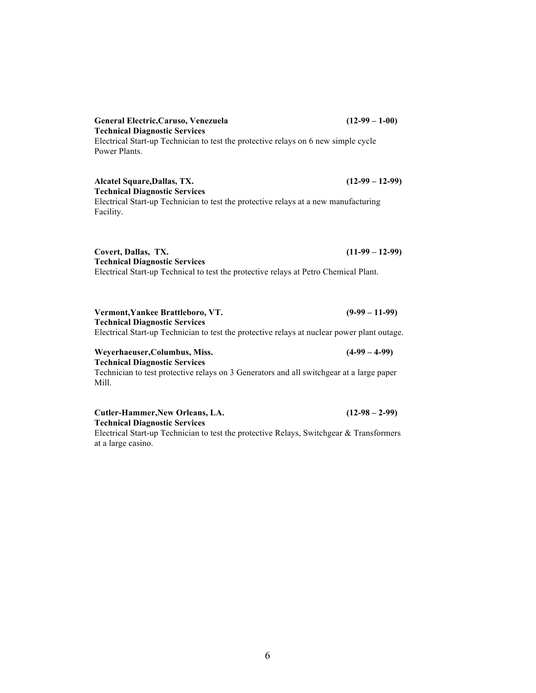# **General Electric,Caruso, Venezuela (12-99 – 1-00) Technical Diagnostic Services**

Electrical Start-up Technician to test the protective relays on 6 new simple cycle Power Plants.

### **Alcatel Square,Dallas, TX. (12-99 – 12-99) Technical Diagnostic Services**

Electrical Start-up Technician to test the protective relays at a new manufacturing Facility.

**Covert, Dallas, TX. (11-99 – 12-99) Technical Diagnostic Services** Electrical Start-up Technical to test the protective relays at Petro Chemical Plant.

**Vermont,Yankee Brattleboro, VT. (9-99 – 11-99) Technical Diagnostic Services** Electrical Start-up Technician to test the protective relays at nuclear power plant outage.

### **Technical Diagnostic Services** Technician to test protective relays on 3 Generators and all switchgear at a large paper Mill.

**Weyerhaeuser,Columbus, Miss. (4-99 – 4-99)**

**Cutler-Hammer,New Orleans, LA. (12-98 – 2-99) Technical Diagnostic Services**

Electrical Start-up Technician to test the protective Relays, Switchgear & Transformers at a large casino.